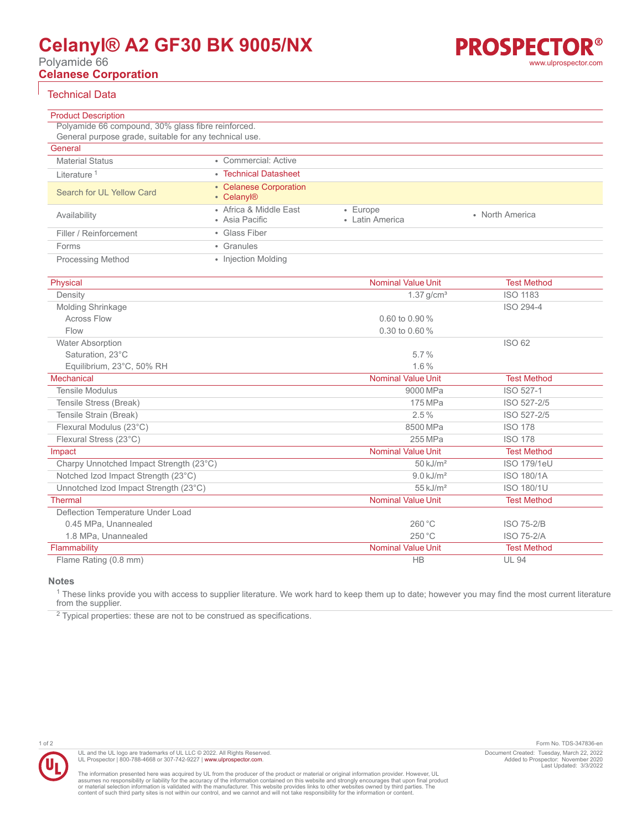# **Celanyl® A2 GF30 BK 9005/NX**

Polyamide 66

**Celanese Corporation**



Technical Data

| <b>Product Description</b>                             |                                                  |                                   |                 |
|--------------------------------------------------------|--------------------------------------------------|-----------------------------------|-----------------|
| Polyamide 66 compound, 30% glass fibre reinforced.     |                                                  |                                   |                 |
| General purpose grade, suitable for any technical use. |                                                  |                                   |                 |
| General                                                |                                                  |                                   |                 |
| <b>Material Status</b>                                 | • Commercial: Active                             |                                   |                 |
| Literature <sup>1</sup>                                | • Technical Datasheet                            |                                   |                 |
| Search for UL Yellow Card                              | • Celanese Corporation<br>• Celanyl <sup>®</sup> |                                   |                 |
| Availability                                           | • Africa & Middle East<br>• Asia Pacific         | $\cdot$ Europe<br>• Latin America | • North America |
| Filler / Reinforcement                                 | • Glass Fiber                                    |                                   |                 |
| Forms                                                  | • Granules                                       |                                   |                 |
| <b>Processing Method</b>                               | • Injection Molding                              |                                   |                 |

| Physical                                | <b>Nominal Value Unit</b> | <b>Test Method</b> |
|-----------------------------------------|---------------------------|--------------------|
| Density                                 | $1.37$ g/cm <sup>3</sup>  | <b>ISO 1183</b>    |
| <b>Molding Shrinkage</b>                |                           | ISO 294-4          |
| <b>Across Flow</b>                      | $0.60$ to $0.90\%$        |                    |
| Flow                                    | 0.30 to 0.60 %            |                    |
| <b>Water Absorption</b>                 |                           | ISO 62             |
| Saturation, 23°C                        | 5.7%                      |                    |
| Equilibrium, 23°C, 50% RH               | $1.6\%$                   |                    |
| Mechanical                              | <b>Nominal Value Unit</b> | <b>Test Method</b> |
| <b>Tensile Modulus</b>                  | 9000 MPa                  | ISO 527-1          |
| Tensile Stress (Break)                  | 175 MPa                   | ISO 527-2/5        |
| Tensile Strain (Break)                  | $2.5\%$                   | ISO 527-2/5        |
| Flexural Modulus (23°C)                 | 8500 MPa                  | <b>ISO 178</b>     |
| Flexural Stress (23°C)                  | 255 MPa                   | <b>ISO 178</b>     |
| Impact                                  | <b>Nominal Value Unit</b> | <b>Test Method</b> |
| Charpy Unnotched Impact Strength (23°C) | $50$ kJ/m <sup>2</sup>    | <b>ISO 179/1eU</b> |
| Notched Izod Impact Strength (23°C)     | $9.0$ kJ/m <sup>2</sup>   | <b>ISO 180/1A</b>  |
| Unnotched Izod Impact Strength (23°C)   | $55$ kJ/m <sup>2</sup>    | <b>ISO 180/1U</b>  |
| <b>Thermal</b>                          | <b>Nominal Value Unit</b> | <b>Test Method</b> |
| Deflection Temperature Under Load       |                           |                    |
| 0.45 MPa, Unannealed                    | 260 °C                    | <b>ISO 75-2/B</b>  |
| 1.8 MPa, Unannealed                     | 250 °C                    | <b>ISO 75-2/A</b>  |
| Flammability                            | <b>Nominal Value Unit</b> | <b>Test Method</b> |
| Flame Rating (0.8 mm)                   | <b>HB</b>                 | <b>UL 94</b>       |

### **Notes**

 $^1$  These links provide you with access to supplier literature. We work hard to keep them up to date; however you may find the most current literature from the supplier.

 $2$  Typical properties: these are not to be construed as specifications.



UL and the UL logo are trademarks of UL LLC © 2022. All Rights Reserved. UL Prospector | 800-788-4668 or 307-742-9227 | [www.ulprospector.com](http://www.ulprospector.com).

The information presented here was acquired by UL from the producer of the product or material or original information provider. However, UL<br>assumes no responsibility or liability for the accuracy of the information contai